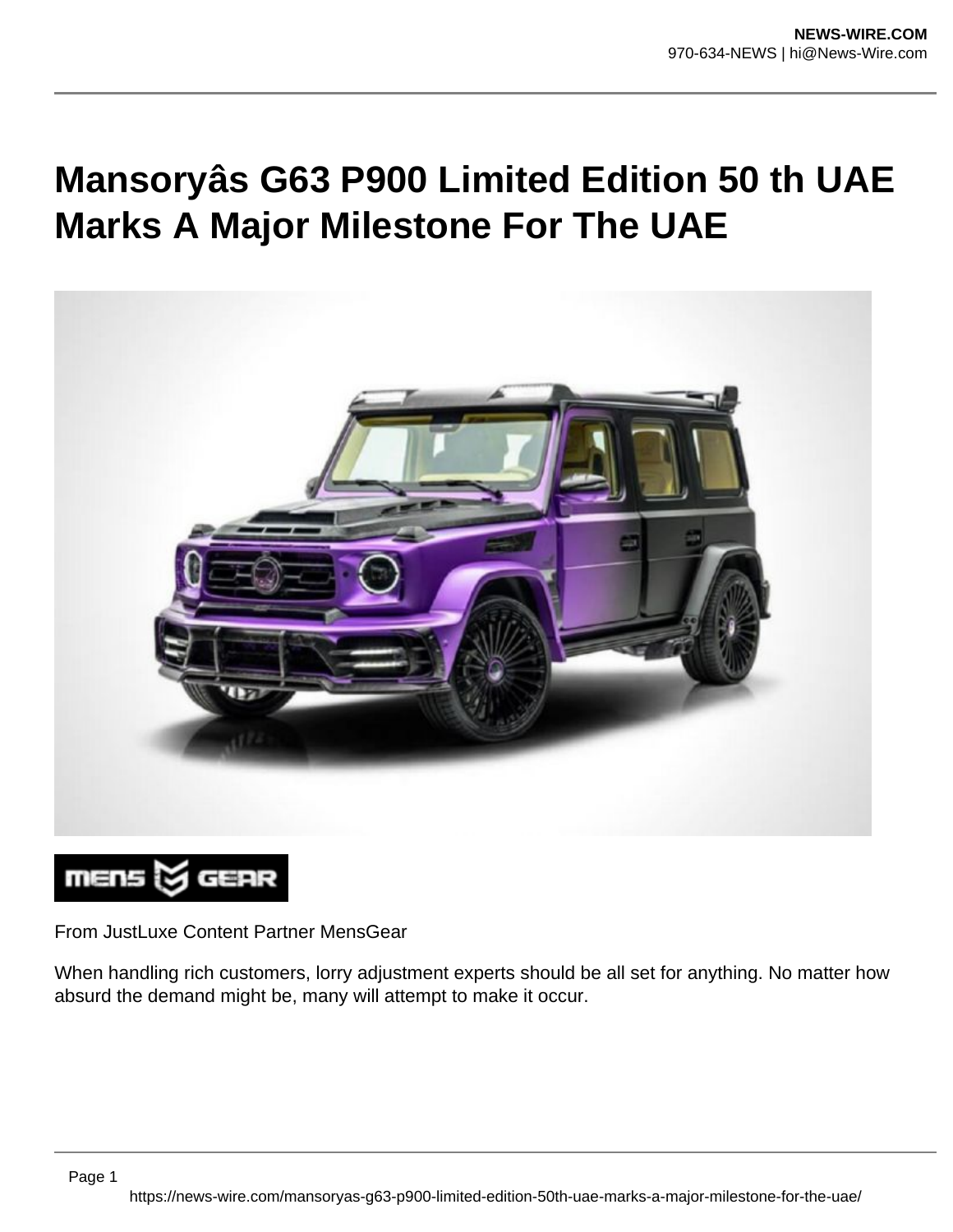## **Mansoryâs G63 P900 Limited Edition 50 th UAE Marks A Major Milestone For The UAE**



## mens & GEAR

From JustLuxe Content Partner MensGear

When handling rich customers, lorry adjustment experts should be all set for anything. No matter how absurd the demand might be, many will attempt to make it occur.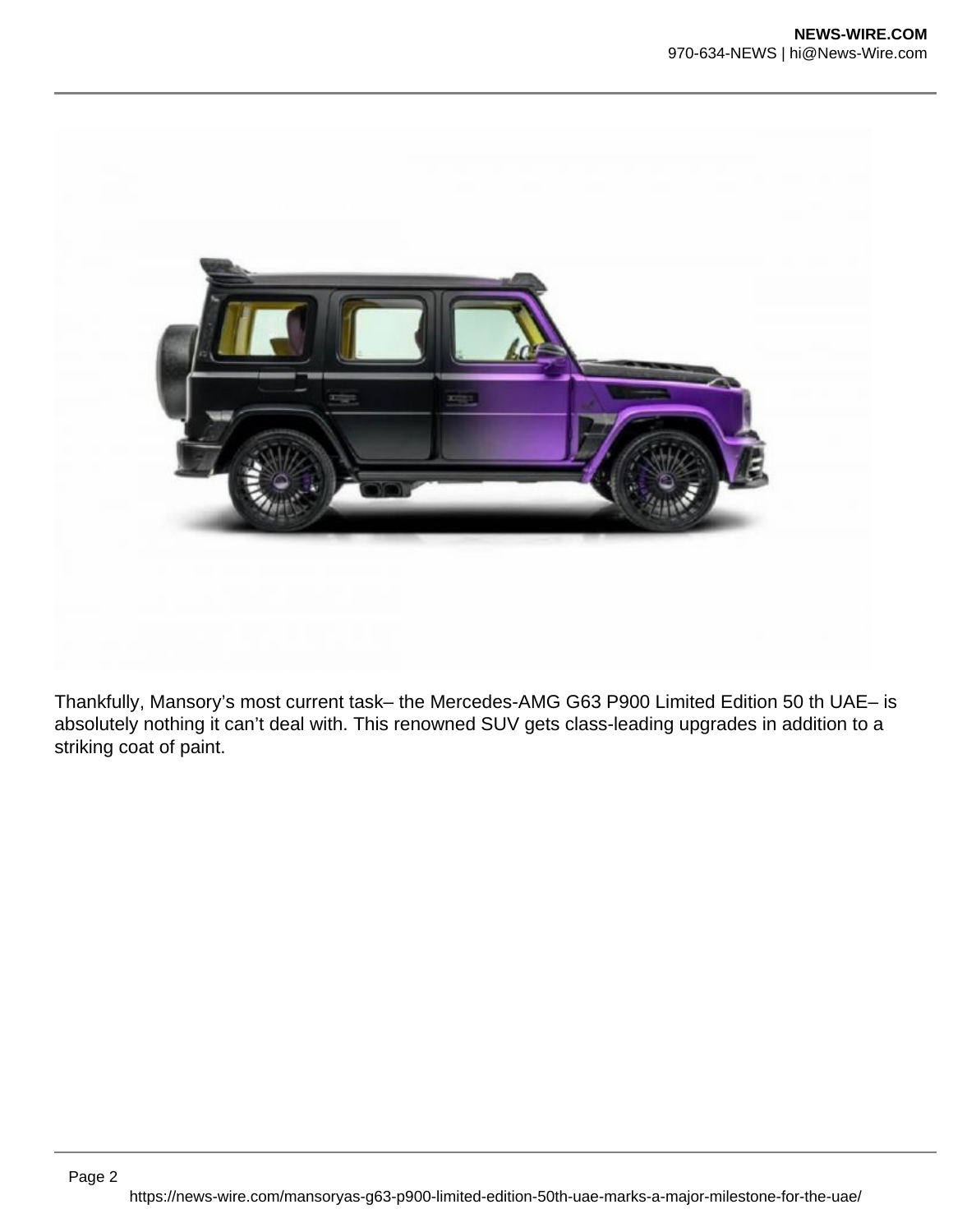

Thankfully, Mansory's most current task– the Mercedes-AMG G63 P900 Limited Edition 50 th UAE– is absolutely nothing it can't deal with. This renowned SUV gets class-leading upgrades in addition to a striking coat of paint.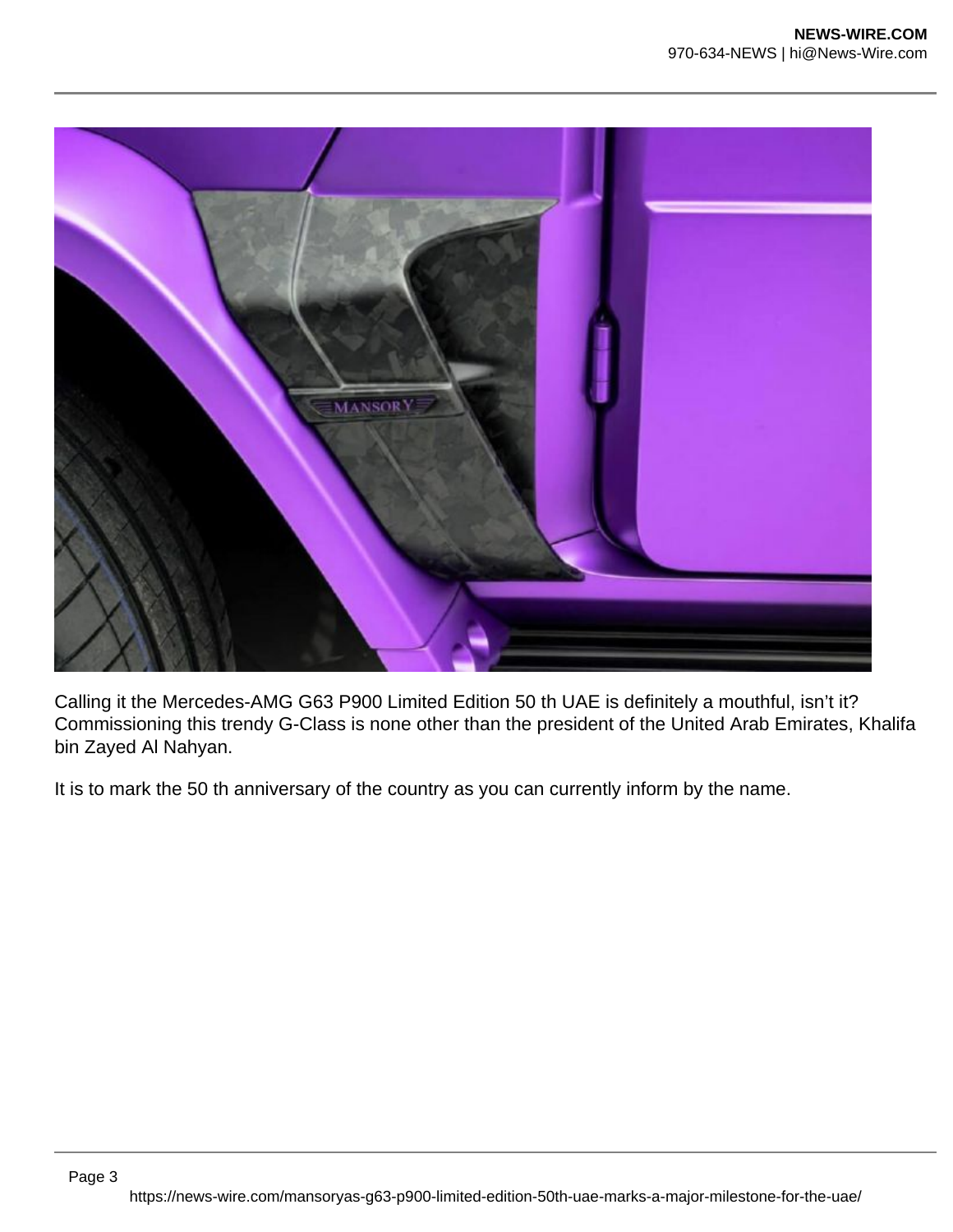

Calling it the Mercedes-AMG G63 P900 Limited Edition 50 th UAE is definitely a mouthful, isn't it? Commissioning this trendy G-Class is none other than the president of the United Arab Emirates, Khalifa bin Zayed Al Nahyan.

It is to mark the 50 th anniversary of the country as you can currently inform by the name.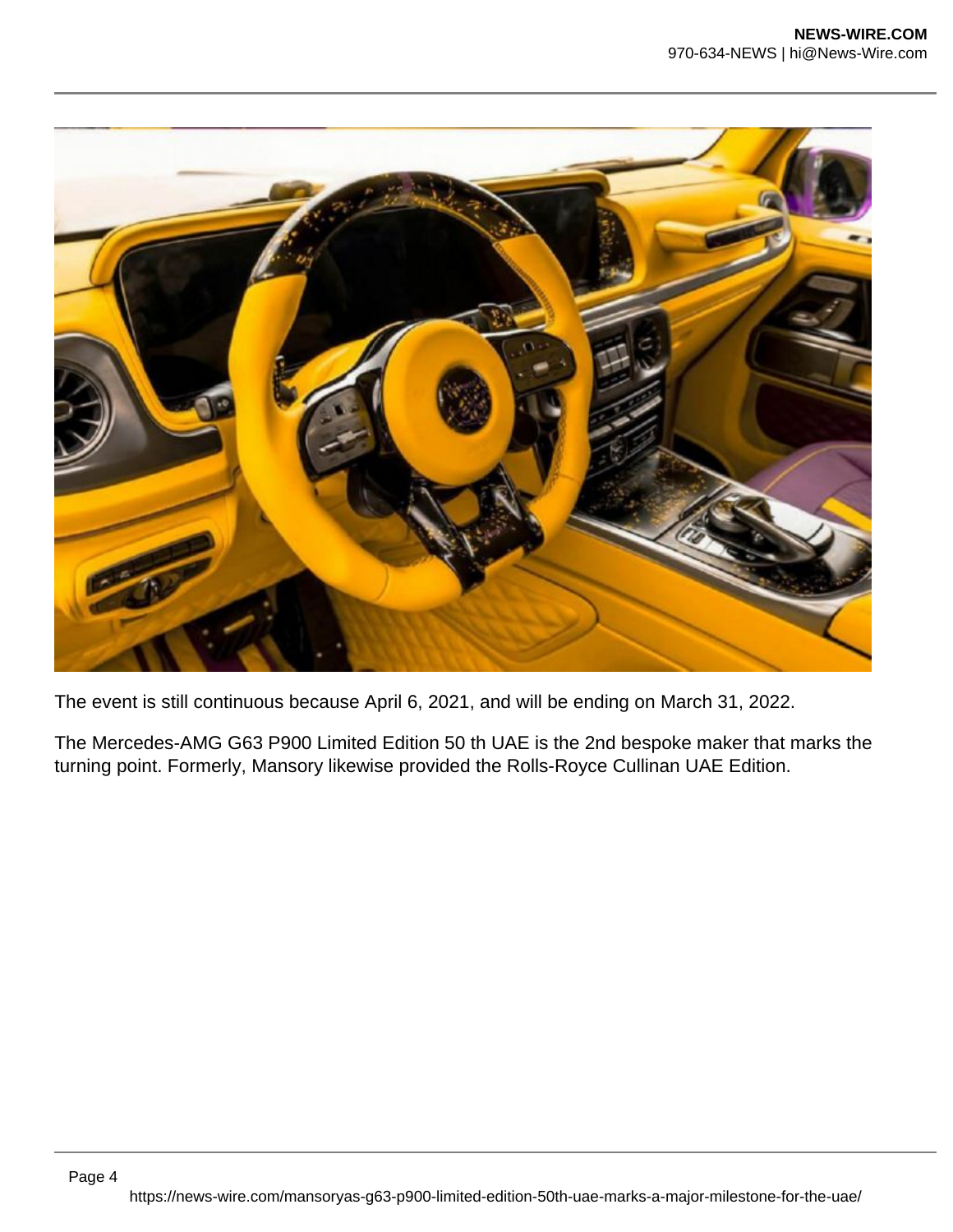

The event is still continuous because April 6, 2021, and will be ending on March 31, 2022.

The Mercedes-AMG G63 P900 Limited Edition 50 th UAE is the 2nd bespoke maker that marks the turning point. Formerly, Mansory likewise provided the Rolls-Royce Cullinan UAE Edition.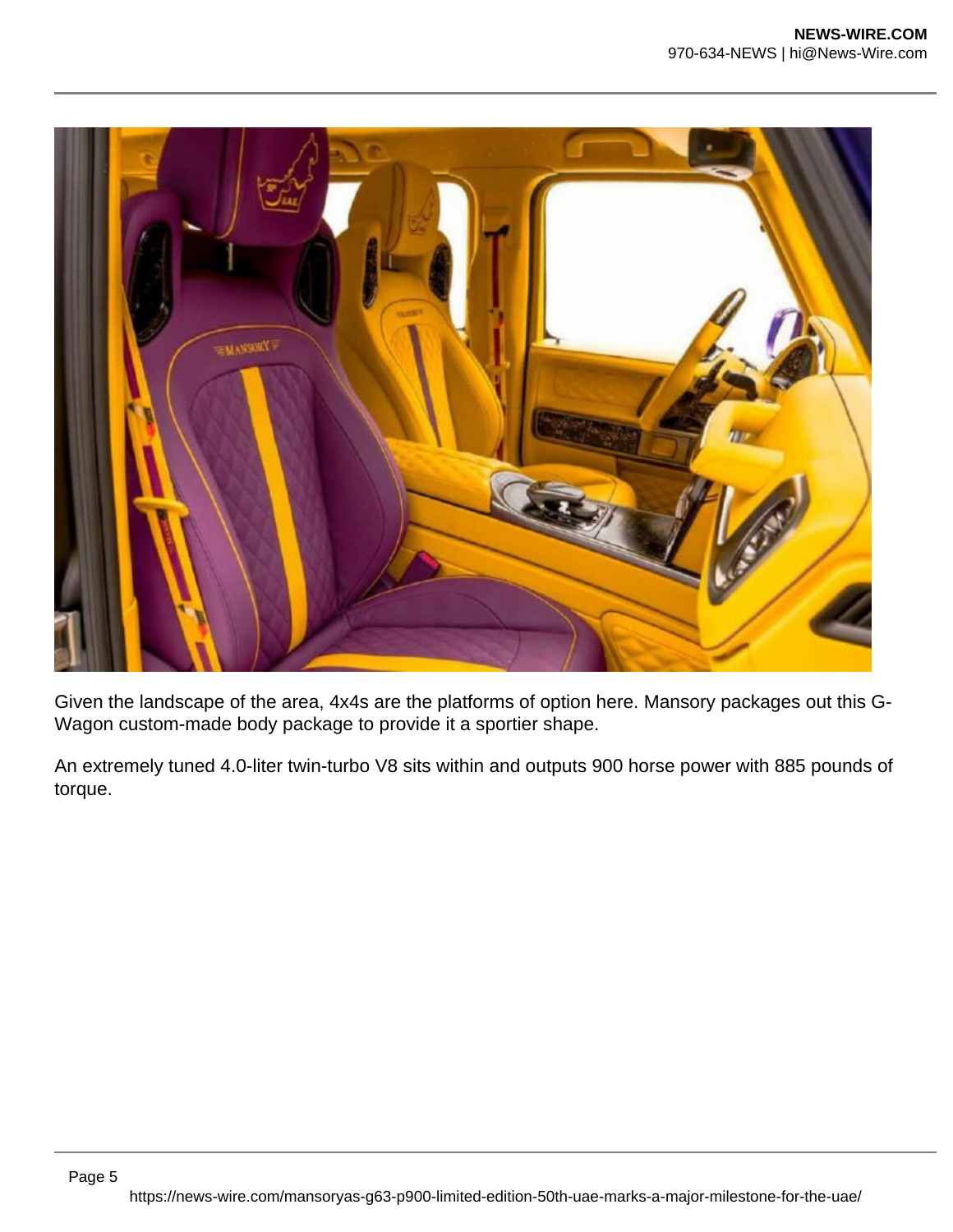

Given the landscape of the area, 4x4s are the platforms of option here. Mansory packages out this G-Wagon custom-made body package to provide it a sportier shape.

An extremely tuned 4.0-liter twin-turbo V8 sits within and outputs 900 horse power with 885 pounds of torque.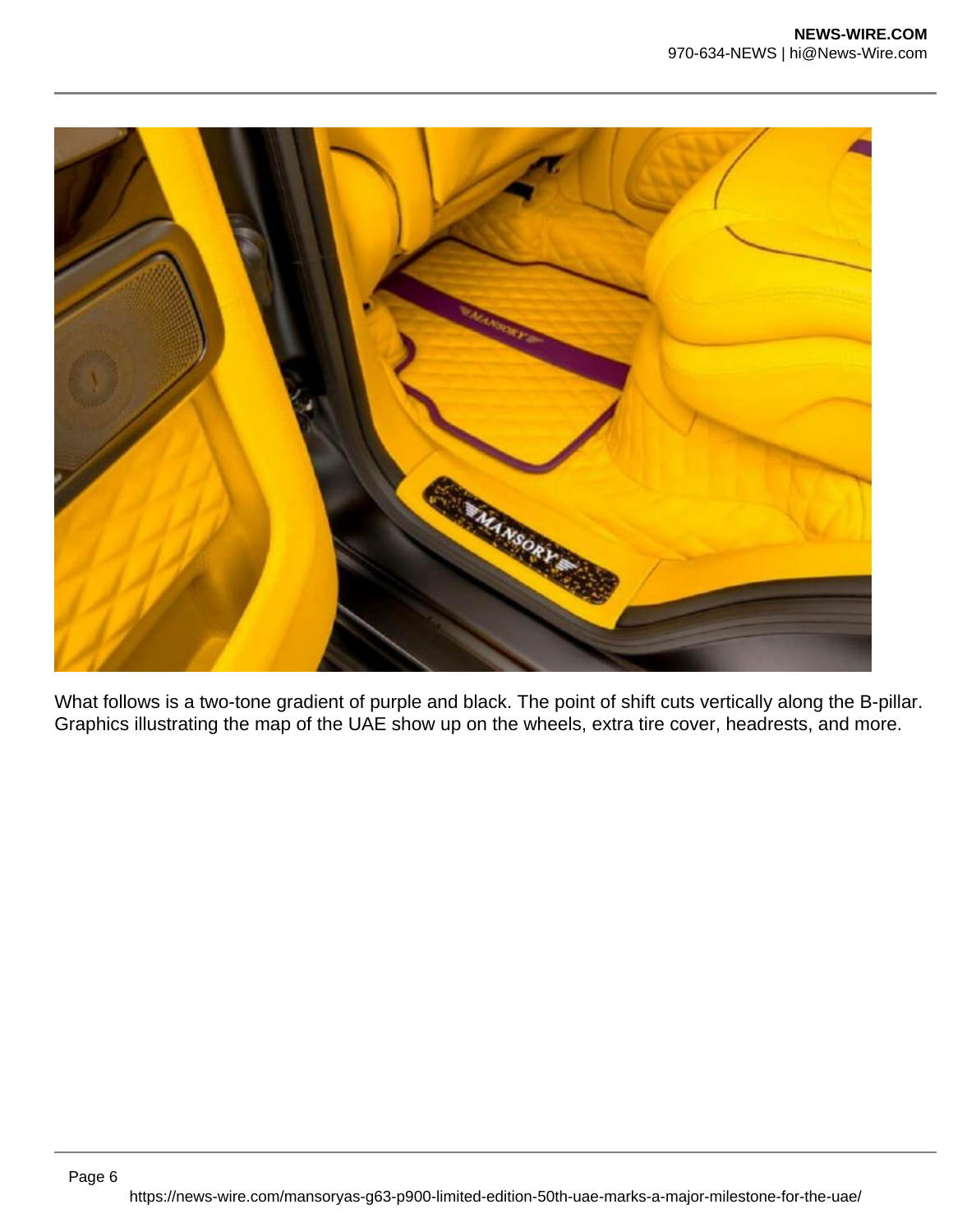

What follows is a two-tone gradient of purple and black. The point of shift cuts vertically along the B-pillar. Graphics illustrating the map of the UAE show up on the wheels, extra tire cover, headrests, and more.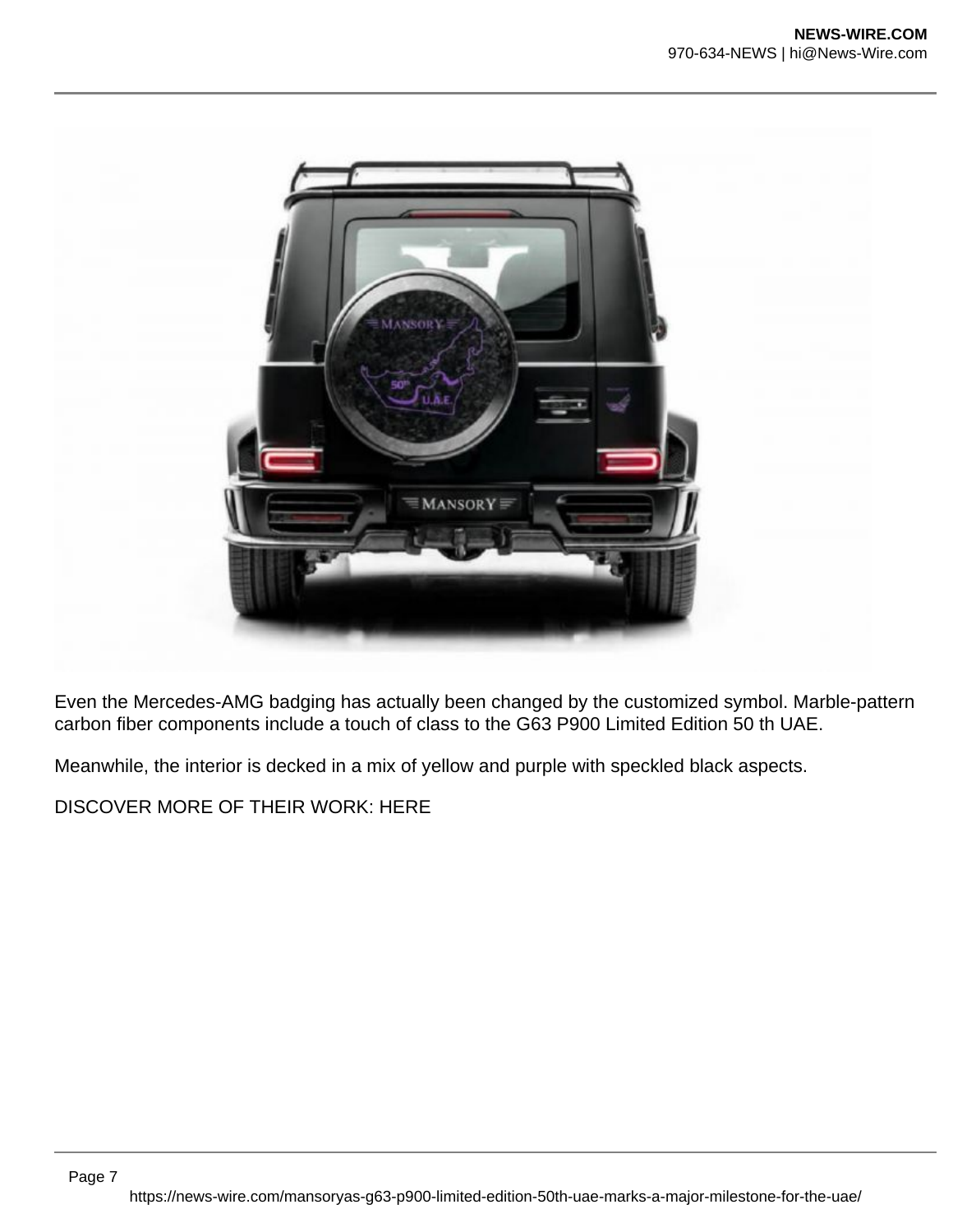

Even the Mercedes-AMG badging has actually been changed by the customized symbol. Marble-pattern carbon fiber components include a touch of class to the G63 P900 Limited Edition 50 th UAE.

Meanwhile, the interior is decked in a mix of yellow and purple with speckled black aspects.

DISCOVER MORE OF THEIR WORK: HERE